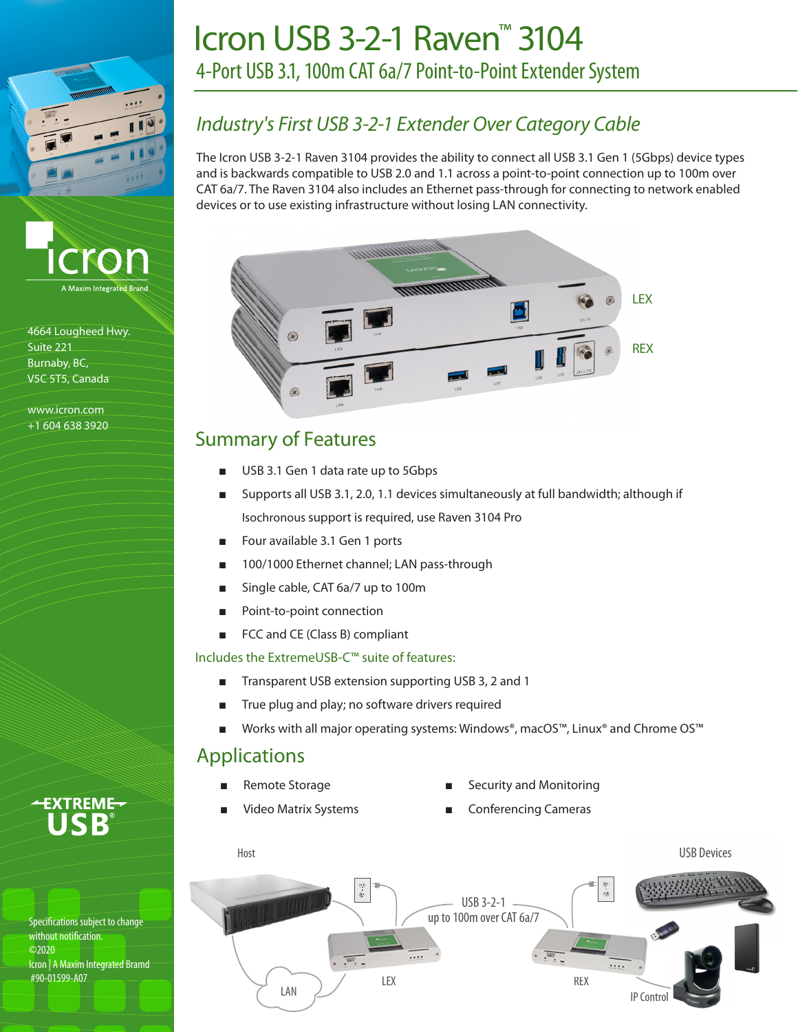

4664 Lougheed Hwy. Suite 221 Burnaby, BC, V5C 5T5, Canada

www.icron.com +1 604 638 3920

# Icron USB 3-2-1 Raven™ 3104

4-Port USB 3.1, 100m CAT 6a/7 Point-to-Point Extender System

# *Industry's First USB 3-2-1 Extender Over Category Cable*

The Icron USB 3-2-1 Raven 3104 provides the ability to connect all USB 3.1 Gen 1 (5Gbps) device types and is backwards compatible to USB 2.0 and 1.1 across a point-to-point connection up to 100m over CAT 6a/7. The Raven 3104 also includes an Ethernet pass-through for connecting to network enabled devices or to use existing infrastructure without losing LAN connectivity.



## Summary of Features

- USB 3.1 Gen 1 data rate up to 5Gbps
- Supports all USB 3.1, 2.0, 1.1 devices simultaneously at full bandwidth; although if Isochronous support is required, use Raven 3104 Pro
- Four available 3.1 Gen 1 ports
- 100/1000 Ethernet channel; LAN pass-through
- Single cable, CAT 6a/7 up to 100m
- Point-to-point connection
- FCC and CE (Class B) compliant

#### Includes the ExtremeUSB-C™ suite of features:

- Transparent USB extension supporting USB 3, 2 and 1
- True plug and play; no software drivers required
- Works with all major operating systems: Windows®, macOS™, Linux® and Chrome OS™

## Applications

- 
- Remote Storage Security and Monitoring
	- Video Matrix Systems Conferencing Cameras
- 



EXTREM<del>E -</del>

Specifications subject to change without notification. ©2020 Icron | A Maxim Integrated Bramd #90-01599-A07